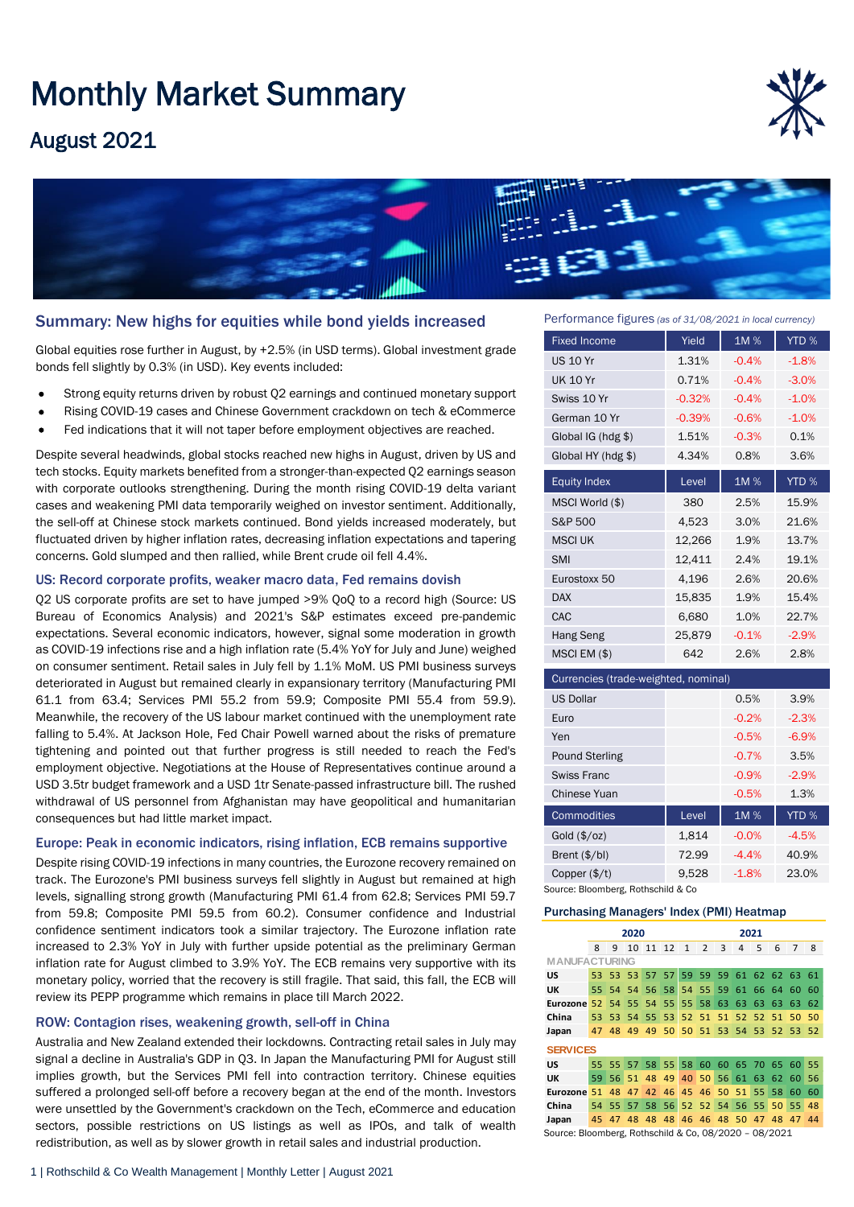# Monthly Market Summary

## August 2021





#### Summary: New highs for equities while bond yields increased

Global equities rose further in August, by +2.5% (in USD terms). Global investment grade bonds fell slightly by 0.3% (in USD). Key events included:

- Strong equity returns driven by robust Q2 earnings and continued monetary support
- Rising COVID-19 cases and Chinese Government crackdown on tech & eCommerce
- Fed indications that it will not taper before employment objectives are reached.

Despite several headwinds, global stocks reached new highs in August, driven by US and tech stocks. Equity markets benefited from a stronger-than-expected Q2 earnings season with corporate outlooks strengthening. During the month rising COVID-19 delta variant cases and weakening PMI data temporarily weighed on investor sentiment. Additionally, the sell-off at Chinese stock markets continued. Bond yields increased moderately, but fluctuated driven by higher inflation rates, decreasing inflation expectations and tapering concerns. Gold slumped and then rallied, while Brent crude oil fell 4.4%.

#### US: Record corporate profits, weaker macro data, Fed remains dovish

Q2 US corporate profits are set to have jumped >9% QoQ to a record high (Source: US Bureau of Economics Analysis) and 2021's S&P estimates exceed pre-pandemic expectations. Several economic indicators, however, signal some moderation in growth as COVID-19 infections rise and a high inflation rate (5.4% YoY for July and June) weighed on consumer sentiment. Retail sales in July fell by 1.1% MoM. US PMI business surveys deteriorated in August but remained clearly in expansionary territory (Manufacturing PMI 61.1 from 63.4; Services PMI 55.2 from 59.9; Composite PMI 55.4 from 59.9). Meanwhile, the recovery of the US labour market continued with the unemployment rate falling to 5.4%. At Jackson Hole, Fed Chair Powell warned about the risks of premature tightening and pointed out that further progress is still needed to reach the Fed's employment objective. Negotiations at the House of Representatives continue around a USD 3.5tr budget framework and a USD 1tr Senate-passed infrastructure bill. The rushed withdrawal of US personnel from Afghanistan may have geopolitical and humanitarian consequences but had little market impact.

#### Europe: Peak in economic indicators, rising inflation, ECB remains supportive

Despite rising COVID-19 infections in many countries, the Eurozone recovery remained on track. The Eurozone's PMI business surveys fell slightly in August but remained at high levels, signalling strong growth (Manufacturing PMI 61.4 from 62.8; Services PMI 59.7 from 59.8; Composite PMI 59.5 from 60.2). Consumer confidence and Industrial confidence sentiment indicators took a similar trajectory. The Eurozone inflation rate increased to 2.3% YoY in July with further upside potential as the preliminary German inflation rate for August climbed to 3.9% YoY. The ECB remains very supportive with its monetary policy, worried that the recovery is still fragile. That said, this fall, the ECB will review its PEPP programme which remains in place till March 2022.

#### ROW: Contagion rises, weakening growth, sell-off in China

Australia and New Zealand extended their lockdowns. Contracting retail sales in July may signal a decline in Australia's GDP in Q3. In Japan the Manufacturing PMI for August still implies growth, but the Services PMI fell into contraction territory. Chinese equities suffered a prolonged sell-off before a recovery began at the end of the month. Investors were unsettled by the Government's crackdown on the Tech, eCommerce and education sectors, possible restrictions on US listings as well as IPOs, and talk of wealth redistribution, as well as by slower growth in retail sales and industrial production.

Performance figures *(as of 31/08/2021 in local currency)*

| <b>Fixed Income</b>                  | Yield    | 1M%     | YTD %   |  |  |  |  |  |
|--------------------------------------|----------|---------|---------|--|--|--|--|--|
| <b>US 10 Yr</b>                      | 1.31%    | $-0.4%$ | $-1.8%$ |  |  |  |  |  |
| <b>UK 10 Yr</b>                      | 0.71%    | $-0.4%$ | $-3.0%$ |  |  |  |  |  |
| Swiss 10 Yr                          | $-0.32%$ | $-0.4%$ | $-1.0%$ |  |  |  |  |  |
| German 10 Yr                         | $-0.39%$ | $-0.6%$ | $-1.0%$ |  |  |  |  |  |
| Global IG (hdg \$)                   | 1.51%    | $-0.3%$ | 0.1%    |  |  |  |  |  |
| Global HY (hdg \$)                   | 4.34%    | 0.8%    | 3.6%    |  |  |  |  |  |
| <b>Equity Index</b>                  | Level    | 1M%     | YTD %   |  |  |  |  |  |
| MSCI World (\$)                      | 380      | 2.5%    | 15.9%   |  |  |  |  |  |
| S&P 500                              | 4,523    | 3.0%    | 21.6%   |  |  |  |  |  |
| <b>MSCI UK</b>                       | 12,266   | 1.9%    | 13.7%   |  |  |  |  |  |
| <b>SMI</b>                           | 12,411   | 2.4%    | 19.1%   |  |  |  |  |  |
| Eurostoxx 50                         | 4,196    | 2.6%    | 20.6%   |  |  |  |  |  |
| <b>DAX</b>                           | 15,835   | 1.9%    | 15.4%   |  |  |  |  |  |
| CAC                                  | 6,680    | 1.0%    | 22.7%   |  |  |  |  |  |
| <b>Hang Seng</b>                     | 25,879   | $-0.1%$ | $-2.9%$ |  |  |  |  |  |
| MSCI EM (\$)                         | 642      | 2.6%    | 2.8%    |  |  |  |  |  |
| Currencies (trade-weighted, nominal) |          |         |         |  |  |  |  |  |
| <b>US Dollar</b>                     |          | 0.5%    | 3.9%    |  |  |  |  |  |
| Euro                                 |          | $-0.2%$ | $-2.3%$ |  |  |  |  |  |
|                                      |          |         |         |  |  |  |  |  |

| Euro                   |       | $-0.2%$ | $-2.3%$ |
|------------------------|-------|---------|---------|
| Yen                    |       | $-0.5%$ | $-6.9%$ |
| Pound Sterling         |       | $-0.7%$ | 3.5%    |
| Swiss Franc            |       | $-0.9%$ | $-2.9%$ |
| Chinese Yuan           |       | $-0.5%$ | 1.3%    |
| Commodities            | Level | 1M%     | YTD %   |
| Gold $(\frac{5}{oz})$  | 1,814 | $-0.0%$ | $-4.5%$ |
| Brent (\$/bl)          | 72.99 | $-4.4%$ | 40.9%   |
| Copper $(\frac{4}{t})$ | 9.528 | $-1.8%$ | 23.0%   |

Source: Bloomberg, Rothschild & Co

#### Purchasing Managers' Index (PMI) Heatmap

|                                                       | 2020            |          |      |       |                                     | 2021            |                |    |      |                 |                |                 |    |
|-------------------------------------------------------|-----------------|----------|------|-------|-------------------------------------|-----------------|----------------|----|------|-----------------|----------------|-----------------|----|
|                                                       | 8               | 9        | 10   | 11    | 12                                  | $\mathbf{1}$    | $\overline{2}$ | 3  | 4    | 5               | 6              | 7               | 8  |
| <b>MANUFACTURING</b>                                  |                 |          |      |       |                                     |                 |                |    |      |                 |                |                 |    |
| US                                                    |                 | 53 53 53 |      | 57 57 |                                     |                 | 59 59          |    |      |                 | 59 61 62 62 63 |                 | 61 |
| UK                                                    | 55.             | 54       | 54   |       | 56 58                               |                 | 54 55          | 59 | - 61 | 66 64           |                | 60              | 60 |
| Eurozone                                              | 52 <sub>1</sub> | 54       | -55  | 54 55 |                                     | 55 <sub>1</sub> | 58             | 63 | 63   | 63              | 63             | 63              | 62 |
| China                                                 | $53 -$          | 53.      | - 54 | 55 53 |                                     |                 | 52 51          |    |      |                 | 51 52 52 51    | 50              | 50 |
| Japan                                                 | 47              | 48       | 49   |       | 49 50 50 51 53 54 53 52 53 52       |                 |                |    |      |                 |                |                 |    |
| <b>SERVICES</b>                                       |                 |          |      |       |                                     |                 |                |    |      |                 |                |                 |    |
| US                                                    |                 |          |      |       | 55 55 57 58 55 58 60 60 65 70 65 60 |                 |                |    |      |                 |                |                 | 55 |
| UK                                                    |                 |          |      |       | 59 56 51 48 49                      |                 | 40 50 56 61 63 |    |      |                 | 62 60          |                 | 56 |
| Eurozone                                              | 51              | 48       | 47   | 42    | 46                                  |                 | 45 46 50 51    |    |      | 55 <sub>1</sub> | 58             | 60              | 60 |
| China                                                 |                 |          |      |       | 54 55 57 58 56 52 52 54 56 55       |                 |                |    |      |                 | 50             | 55 <sup>1</sup> | 48 |
| Japan                                                 |                 | 45 47    | 48   |       | 48 48 46 46 48 50 47 48 47          |                 |                |    |      |                 |                |                 | 44 |
| Source: Bloomberg, Rothschild & Co, 08/2020 - 08/2021 |                 |          |      |       |                                     |                 |                |    |      |                 |                |                 |    |